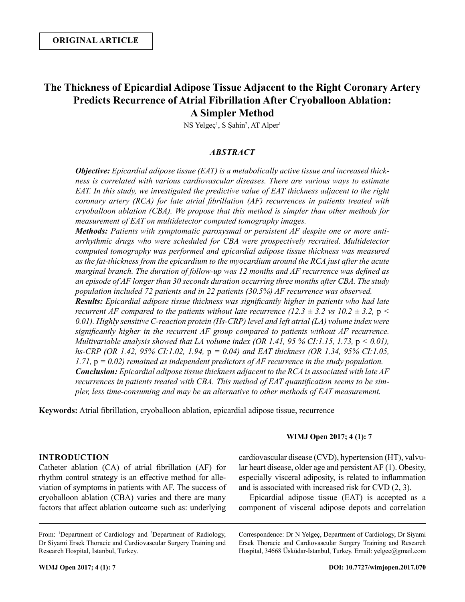# **The Thickness of Epicardial Adipose Tissue Adjacent to the Right Coronary Artery Predicts Recurrence of Atrial Fibrillation After Cryoballoon Ablation: A Simpler Method**

NS Yelgeç<sup>1</sup>, S Şahin<sup>2</sup>, AT Alper<sup>1</sup>

## *ABSTRACT*

*Objective: Epicardial adipose tissue (EAT) is a metabolically active tissue and increased thickness is correlated with various cardiovascular diseases. There are various ways to estimate EAT. In this study, we investigated the predictive value of EAT thickness adjacent to the right coronary artery (RCA) for late atrial fibrillation (AF) recurrences in patients treated with cryoballoon ablation (CBA). We propose that this method is simpler than other methods for measurement of EAT on multidetector computed tomography images.*

*Methods: Patients with symptomatic paroxysmal or persistent AF despite one or more antiarrhythmic drugs who were scheduled for CBA were prospectively recruited. Multidetector computed tomography was performed and epicardial adipose tissue thickness was measured as the fat-thickness from the epicardium to the myocardium around the RCA just after the acute marginal branch. The duration of follow-up was 12 months and AF recurrence was defined as an episode of AF longer than 30 seconds duration occurring three months after CBA. The study population included 72 patients and in 22 patients (30.5%) AF recurrence was observed. Results: Epicardial adipose tissue thickness was significantly higher in patients who had late recurrent AF compared to the patients without late recurrence (12.3*  $\pm$  *3.2 vs 10.2*  $\pm$  *3.2, p < 0.01). Highly sensitive C-reaction protein (Hs-CRP) level and left atrial (LA) volume index were significantly higher in the recurrent AF group compared to patients without AF recurrence. Multivariable analysis showed that LA volume index (OR 1.41, 95 % CI:1.15, 1.73, p < 0.01), hs-CRP (OR 1.42, 95% CI:1.02, 1.94,* p *= 0.04) and EAT thickness (OR 1.34, 95% CI:1.05, 1.71,* p *= 0.02) remained as independent predictors of AF recurrence in the study population. Conclusion: Epicardial adipose tissue thickness adjacent to the RCA is associated with late AF recurrences in patients treated with CBA. This method of EAT quantification seems to be simpler, less time-consuming and may be an alternative to other methods of EAT measurement.*

**Keywords:** Atrial fibrillation, cryoballoon ablation, epicardial adipose tissue, recurrence

#### **WIMJ Open 2017; 4 (1): 7**

## **INTRODUCTION**

Catheter ablation (CA) of atrial fibrillation (AF) for rhythm control strategy is an effective method for alleviation of symptoms in patients with AF. The success of cryoballoon ablation (CBA) varies and there are many factors that affect ablation outcome such as: underlying cardiovascular disease (CVD), hypertension (HT), valvular heart disease, older age and persistent AF (1). Obesity, especially visceral adiposity, is related to inflammation and is associated with increased risk for CVD (2, 3).

Epicardial adipose tissue (EAT) is accepted as a component of visceral adipose depots and correlation

Correspondence: Dr N Yelgeç, Department of Cardiology, Dr Siyami Ersek Thoracic and Cardiovascular Surgery Training and Research Hospital, 34668 Üsküdar-Istanbul, Turkey. Email: yelgec@gmail.com

From: <sup>1</sup>Department of Cardiology and <sup>2</sup>Department of Radiology, Dr Siyami Ersek Thoracic and Cardiovascular Surgery Training and Research Hospital, Istanbul, Turkey.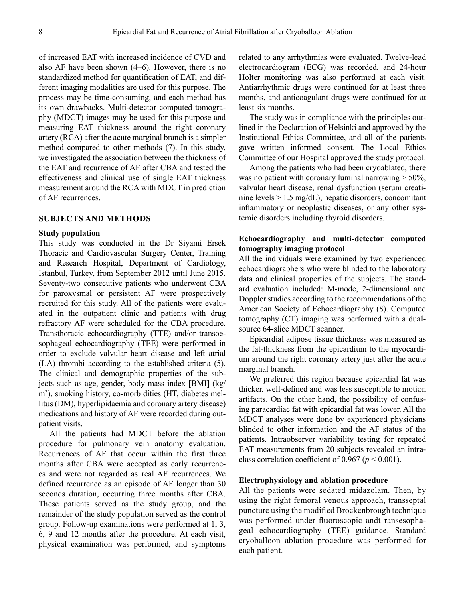of increased EAT with increased incidence of CVD and also AF have been shown (4–6). However, there is no standardized method for quantification of EAT, and different imaging modalities are used for this purpose. The process may be time-consuming, and each method has its own drawbacks. Multi-detector computed tomography (MDCT) images may be used for this purpose and measuring EAT thickness around the right coronary artery (RCA) after the acute marginal branch is a simpler method compared to other methods (7). In this study, we investigated the association between the thickness of the EAT and recurrence of AF after CBA and tested the effectiveness and clinical use of single EAT thickness measurement around the RCA with MDCT in prediction of AF recurrences.

## **SUBJECTS AND METHODS**

#### **Study population**

This study was conducted in the Dr Siyami Ersek Thoracic and Cardiovascular Surgery Center, Training and Research Hospital, Department of Cardiology, Istanbul, Turkey, from September 2012 until June 2015. Seventy-two consecutive patients who underwent CBA for paroxysmal or persistent AF were prospectively recruited for this study. All of the patients were evaluated in the outpatient clinic and patients with drug refractory AF were scheduled for the CBA procedure. Transthoracic echocardiography (TTE) and/or transoesophageal echocardiography (TEE) were performed in order to exclude valvular heart disease and left atrial (LA) thrombi according to the established criteria (5). The clinical and demographic properties of the subjects such as age, gender, body mass index [BMI] (kg/ m<sup>2</sup> ), smoking history, co-morbidities (HT, diabetes mellitus (DM), hyperlipidaemia and coronary artery disease) medications and history of AF were recorded during outpatient visits.

All the patients had MDCT before the ablation procedure for pulmonary vein anatomy evaluation. Recurrences of AF that occur within the first three months after CBA were accepted as early recurrences and were not regarded as real AF recurrences. We defined recurrence as an episode of AF longer than 30 seconds duration, occurring three months after CBA. These patients served as the study group, and the remainder of the study population served as the control group. Follow-up examinations were performed at 1, 3, 6, 9 and 12 months after the procedure. At each visit, physical examination was performed, and symptoms

related to any arrhythmias were evaluated. Twelve-lead electrocardiogram (ECG) was recorded, and 24-hour Holter monitoring was also performed at each visit. Antiarrhythmic drugs were continued for at least three months, and anticoagulant drugs were continued for at least six months.

The study was in compliance with the principles outlined in the Declaration of Helsinki and approved by the Institutional Ethics Committee, and all of the patients gave written informed consent. The Local Ethics Committee of our Hospital approved the study protocol.

Among the patients who had been cryoablated, there was no patient with coronary luminal narrowing  $>$  50%, valvular heart disease, renal dysfunction (serum creatinine levels > 1.5 mg/dL), hepatic disorders, concomitant inflammatory or neoplastic diseases, or any other systemic disorders including thyroid disorders.

# **Echocardiography and multi-detector computed tomography imaging protocol**

All the individuals were examined by two experienced echocardiographers who were blinded to the laboratory data and clinical properties of the subjects. The standard evaluation included: M-mode, 2-dimensional and Doppler studies according to the recommendations of the American Society of Echocardiography (8). Computed tomography (CT) imaging was performed with a dualsource 64-slice MDCT scanner.

Epicardial adipose tissue thickness was measured as the fat-thickness from the epicardium to the myocardium around the right coronary artery just after the acute marginal branch.

We preferred this region because epicardial fat was thicker, well-defined and was less susceptible to motion artifacts. On the other hand, the possibility of confusing paracardiac fat with epicardial fat was lower. All the MDCT analyses were done by experienced physicians blinded to other information and the AF status of the patients. Intraobserver variability testing for repeated EAT measurements from 20 subjects revealed an intraclass correlation coefficient of 0.967 ( $p < 0.001$ ).

## **Electrophysiology and ablation procedure**

All the patients were sedated midazolam. Then, by using the right femoral venous approach, transseptal puncture using the modified Brockenbrough technique was performed under fluoroscopic andt ransesophageal echocardiography (TEE) guidance. Standard cryoballoon ablation procedure was performed for each patient.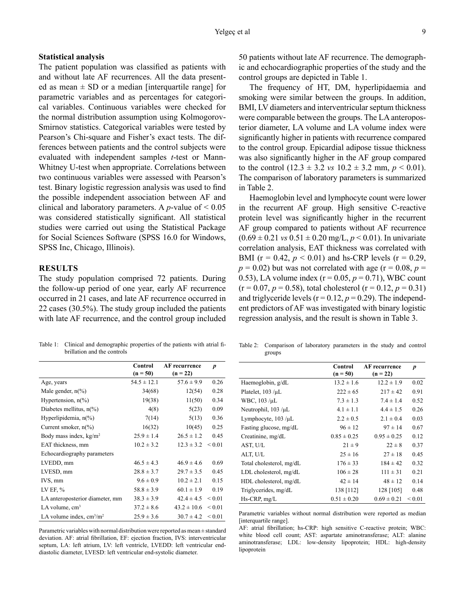## **Statistical analysis**

The patient population was classified as patients with and without late AF recurrences. All the data presented as mean  $\pm$  SD or a median [interquartile range] for parametric variables and as percentages for categorical variables. Continuous variables were checked for the normal distribution assumption using Kolmogorov-Smirnov statistics. Categorical variables were tested by Pearson's Chi-square and Fisher's exact tests. The differences between patients and the control subjects were evaluated with independent samples *t*-test or Mann-Whitney U-test when appropriate. Correlations between two continuous variables were assessed with Pearson's test. Binary logistic regression analysis was used to find the possible independent association between AF and clinical and laboratory parameters. A *p*-value of  $\leq 0.05$ was considered statistically significant. All statistical studies were carried out using the Statistical Package for Social Sciences Software (SPSS 16.0 for Windows, SPSS Inc, Chicago, Illinois).

# **RESULTS**

The study population comprised 72 patients. During the follow-up period of one year, early AF recurrence occurred in 21 cases, and late AF recurrence occurred in 22 cases (30.5%). The study group included the patients with late AF recurrence, and the control group included

Table 1: Clinical and demographic properties of the patients with atrial fibrillation and the controls

|                                   | Control<br>$(n = 50)$ | <b>AF</b> recurrence<br>$(n = 22)$ | $\boldsymbol{p}$ |
|-----------------------------------|-----------------------|------------------------------------|------------------|
| Age, years                        | $54.5 \pm 12.1$       | $57.6 \pm 9.9$                     | 0.26             |
| Male gender, $n\frac{6}{6}$       | 34(68)                | 12(54)                             | 0.28             |
| Hypertension, $n\frac{6}{6}$      | 19(38)                | 11(50)                             | 0.34             |
| Diabetes mellitus, $n\frac{6}{6}$ | 4(8)                  | 5(23)                              | 0.09             |
| Hyperlipidemia, $n\llap/$         | 7(14)                 | 5(13)                              | 0.36             |
| Current smoker, $n\frac{6}{6}$    | 16(32)                | 10(45)                             | 0.25             |
| Body mass index, $kg/m2$          | $25.9 \pm 1.4$        | $26.5 \pm 1.2$                     | 0.45             |
| EAT thickness, mm                 | $10.2 \pm 3.2$        | $12.3 \pm 3.2$                     | ${}_{\leq 0.01}$ |
| Echocardiography parameters       |                       |                                    |                  |
| LVEDD, mm                         | $46.5 \pm 4.3$        | $46.9 \pm 4.6$                     | 0.69             |
| LVESD, mm                         | $28.8 \pm 3.7$        | $29.7 \pm 3.5$                     | 0.45             |
| IVS, mm                           | $9.6 \pm 0.9$         | $10.2 \pm 2.1$                     | 0.15             |
| LV EF, %                          | $58.8 \pm 3.9$        | $60.1 \pm 1.9$                     | 0.19             |
| LA anteroposterior diameter, mm   | $38.3 \pm 3.9$        | $42.4 \pm 4.5$                     | ${}_{0.01}$      |
| LA volume, $cm3$                  | $37.2 \pm 8.6$        | $43.2 \pm 10.6$                    | ${}_{\leq 0.01}$ |
| LA volume index, $cm3/m2$         | $25.9 \pm 3.6$        | $30.7 \pm 4.2$                     | ${}_{\leq 0.01}$ |

Parametric variables with normal distribution were reported as mean ± standard deviation. AF: atrial fibrillation, EF: ejection fraction, IVS: interventricular septum, LA: left atrium, LV: left ventricle, LVEDD: left ventricular enddiastolic diameter, LVESD: left ventricular end-systolic diameter.

50 patients without late AF recurrence. The demographic and echocardiographic properties of the study and the control groups are depicted in Table 1.

The frequency of HT, DM, hyperlipidaemia and smoking were similar between the groups. In addition, BMI, LV diameters and interventricular septum thickness were comparable between the groups. The LA anteroposterior diameter, LA volume and LA volume index were significantly higher in patients with recurrence compared to the control group. Epicardial adipose tissue thickness was also significantly higher in the AF group compared to the control  $(12.3 \pm 3.2 \text{ vs } 10.2 \pm 3.2 \text{ mm}, p \le 0.01)$ . The comparison of laboratory parameters is summarized in Table 2.

Haemoglobin level and lymphocyte count were lower in the recurrent AF group. High sensitive C-reactive protein level was significantly higher in the recurrent AF group compared to patients without AF recurrence  $(0.69 \pm 0.21 \text{ vs } 0.51 \pm 0.20 \text{ mg/L}, p < 0.01)$ . In univariate correlation analysis, EAT thickness was correlated with BMI ( $r = 0.42$ ,  $p < 0.01$ ) and hs-CRP levels ( $r = 0.29$ ,  $p = 0.02$ ) but was not correlated with age ( $r = 0.08$ ,  $p =$ 0.53), LA volume index  $(r = 0.05, p = 0.71)$ , WBC count  $(r = 0.07, p = 0.58)$ , total cholesterol  $(r = 0.12, p = 0.31)$ and triglyceride levels ( $r = 0.12$ ,  $p = 0.29$ ). The independent predictors of AF was investigated with binary logistic regression analysis, and the result is shown in Table 3.

Table 2: Comparison of laboratory parameters in the study and control groups

|                           | Control<br>$(n = 50)$ | <b>AF</b> recurrence<br>$(n = 22)$ | p           |
|---------------------------|-----------------------|------------------------------------|-------------|
| Haemoglobin, g/dL         | $13.2 \pm 1.6$        | $12.2 \pm 1.9$                     | 0.02        |
| Platelet, $103 / \mu L$   | $222 \pm 65$          | $217 \pm 42$                       | 0.91        |
| WBC, 103 /µL              | $7.3 \pm 1.3$         | $7.4 \pm 1.4$                      | 0.52        |
| Neutrophil, $103 / \mu L$ | $4.1 \pm 1.1$         | $4.4 \pm 1.5$                      | 0.26        |
| Lymphocyte, 103 /µL       | $2.2 \pm 0.5$         | $2.1 \pm 0.4$                      | 0.03        |
| Fasting glucose, mg/dL    | $96 \pm 12$           | $97 \pm 14$                        | 0.67        |
| Creatinine, mg/dL         | $0.85 \pm 0.25$       | $0.95 \pm 0.25$                    | 0.12        |
| AST, U/L                  | $21 \pm 9$            | $22 \pm 8$                         | 0.37        |
| ALT, U/L                  | $25 \pm 16$           | $27 \pm 18$                        | 0.45        |
| Total cholesterol, mg/dL  | $176 \pm 33$          | $184 \pm 42$                       | 0.32        |
| $LDL$ cholesterol, mg/dL  | $106 \pm 28$          | $111 \pm 31$                       | 0.21        |
| HDL cholesterol, mg/dL    | $42 \pm 14$           | $48 \pm 12$                        | 0.14        |
| Triglycerides, mg/dL      | 138 [112]             | 128 [105]                          | 0.48        |
| Hs-CRP, mg/L              | $0.51 \pm 0.20$       | $0.69 \pm 0.21$                    | ${}_{0.01}$ |

Parametric variables without normal distribution were reported as median [interquartile range].

AF: atrial fibrillation; hs-CRP: high sensitive C-reactive protein; WBC: white blood cell count; AST: aspartate aminotransferase; ALT: alanine aminotransferase; LDL: low-density lipoprotein; HDL: high-density lipoprotein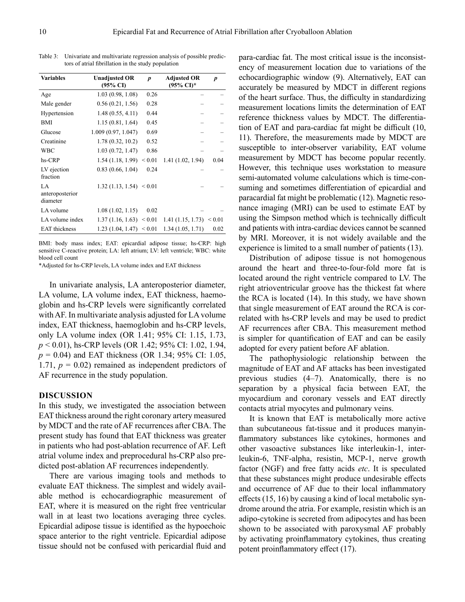| <b>Variables</b>                  | <b>Unadjusted OR</b><br>$(95\% \text{ CI})$ | $\boldsymbol{p}$ | <b>Adjusted OR</b><br>(95% CI)* | D    |
|-----------------------------------|---------------------------------------------|------------------|---------------------------------|------|
| Age                               | 1.03(0.98, 1.08)                            | 0.26             |                                 |      |
| Male gender                       | 0.56(0.21, 1.56)                            | 0.28             |                                 |      |
| Hypertension                      | 1.48(0.55, 4.11)                            | 0.44             |                                 |      |
| <b>BMI</b>                        | 1.15(0.81, 1.64)                            | 0.45             |                                 |      |
| Glucose                           | 1.009(0.97, 1.047)                          | 0.69             |                                 |      |
| Creatinine                        | 1.78(0.32, 10.2)                            | 0.52             |                                 |      |
| <b>WBC</b>                        | 1.03(0.72, 1.47)                            | 0.86             |                                 |      |
| hs-CRP                            | 1.54 (1.18, 1.99)                           | ${}_{\leq 0.01}$ | 1.41(1.02, 1.94)                | 0.04 |
| LV ejection<br>fraction           | 0.83(0.66, 1.04)                            | 0.24             |                                 |      |
| LA<br>anteroposterior<br>diameter | 1.32(1.13, 1.54) < 0.01                     |                  |                                 |      |
| LA volume                         | 1.08(1.02, 1.15)                            | 0.02             |                                 |      |
| LA volume index                   | 1.37(1.16, 1.63) < 0.01                     |                  | 1.41(1.15, 1.73) < 0.01         |      |
| <b>EAT</b> thickness              | 1.23(1.04, 1.47) < 0.01                     |                  | 1.34(1.05, 1.71)                | 0.02 |
|                                   |                                             |                  |                                 |      |

Table 3: Univariate and multivariate regression analysis of possible predictors of atrial fibrillation in the study population

BMI: body mass index; EAT: epicardial adipose tissue; hs-CRP: high sensitive C-reactive protein; LA: left atrium; LV: left ventricle; WBC: white blood cell count

\*Adjusted for hs-CRP levels, LA volume index and EAT thickness

In univariate analysis, LA anteroposterior diameter, LA volume, LA volume index, EAT thickness, haemoglobin and hs-CRP levels were significantly correlated with AF. In multivariate analysis adjusted for LA volume index, EAT thickness, haemoglobin and hs-CRP levels, only LA volume index (OR 1.41; 95% CI: 1.15, 1.73, *p* < 0.01), hs-CRP levels (OR 1.42; 95% CI: 1.02, 1.94, *p* = 0.04) and EAT thickness (OR 1.34; 95% CI: 1.05, 1.71,  $p = 0.02$ ) remained as independent predictors of AF recurrence in the study population.

#### **DISCUSSION**

In this study, we investigated the association between EAT thickness around the right coronary artery measured by MDCT and the rate of AF recurrences after CBA. The present study has found that EAT thickness was greater in patients who had post-ablation recurrence of AF. Left atrial volume index and preprocedural hs-CRP also predicted post-ablation AF recurrences independently.

There are various imaging tools and methods to evaluate EAT thickness. The simplest and widely available method is echocardiographic measurement of EAT, where it is measured on the right free ventricular wall in at least two locations averaging three cycles. Epicardial adipose tissue is identified as the hypoechoic space anterior to the right ventricle. Epicardial adipose tissue should not be confused with pericardial fluid and

para-cardiac fat. The most critical issue is the inconsistency of measurement location due to variations of the echocardiographic window (9). Alternatively, EAT can accurately be measured by MDCT in different regions of the heart surface. Thus, the difficulty in standardizing measurement locations limits the determination of EAT reference thickness values by MDCT. The differentiation of EAT and para-cardiac fat might be difficult (10, 11). Therefore, the measurements made by MDCT are susceptible to inter-observer variability, EAT volume measurement by MDCT has become popular recently. However, this technique uses workstation to measure semi-automated volume calculations which is time-consuming and sometimes differentiation of epicardial and paracardial fat might be problematic (12). Magnetic resonance imaging (MRI) can be used to estimate EAT by using the Simpson method which is technically difficult and patients with intra-cardiac devices cannot be scanned by MRI. Moreover, it is not widely available and the experience is limited to a small number of patients (13).

Distribution of adipose tissue is not homogenous around the heart and three-to-four-fold more fat is located around the right ventricle compared to LV. The right atrioventricular groove has the thickest fat where the RCA is located (14). In this study, we have shown that single measurement of EAT around the RCA is correlated with hs-CRP levels and may be used to predict AF recurrences after CBA. This measurement method is simpler for quantification of EAT and can be easily adopted for every patient before AF ablation.

The pathophysiologic relationship between the magnitude of EAT and AF attacks has been investigated previous studies (4–7). Anatomically, there is no separation by a physical facia between EAT, the myocardium and coronary vessels and EAT directly contacts atrial myocytes and pulmonary veins.

It is known that EAT is metabolically more active than subcutaneous fat-tissue and it produces manyinflammatory substances like cytokines, hormones and other vasoactive substances like interleukin-1, interleukin-6, TNF-alpha, resistin, MCP-1, nerve growth factor (NGF) and free fatty acids *etc*. It is speculated that these substances might produce undesirable effects and occurrence of AF due to their local inflammatory effects (15, 16) by causing a kind of local metabolic syndrome around the atria. For example, resistin which is an adipo-cytokine is secreted from adipocytes and has been shown to be associated with paroxysmal AF probably by activating proinflammatory cytokines, thus creating potent proinflammatory effect (17).